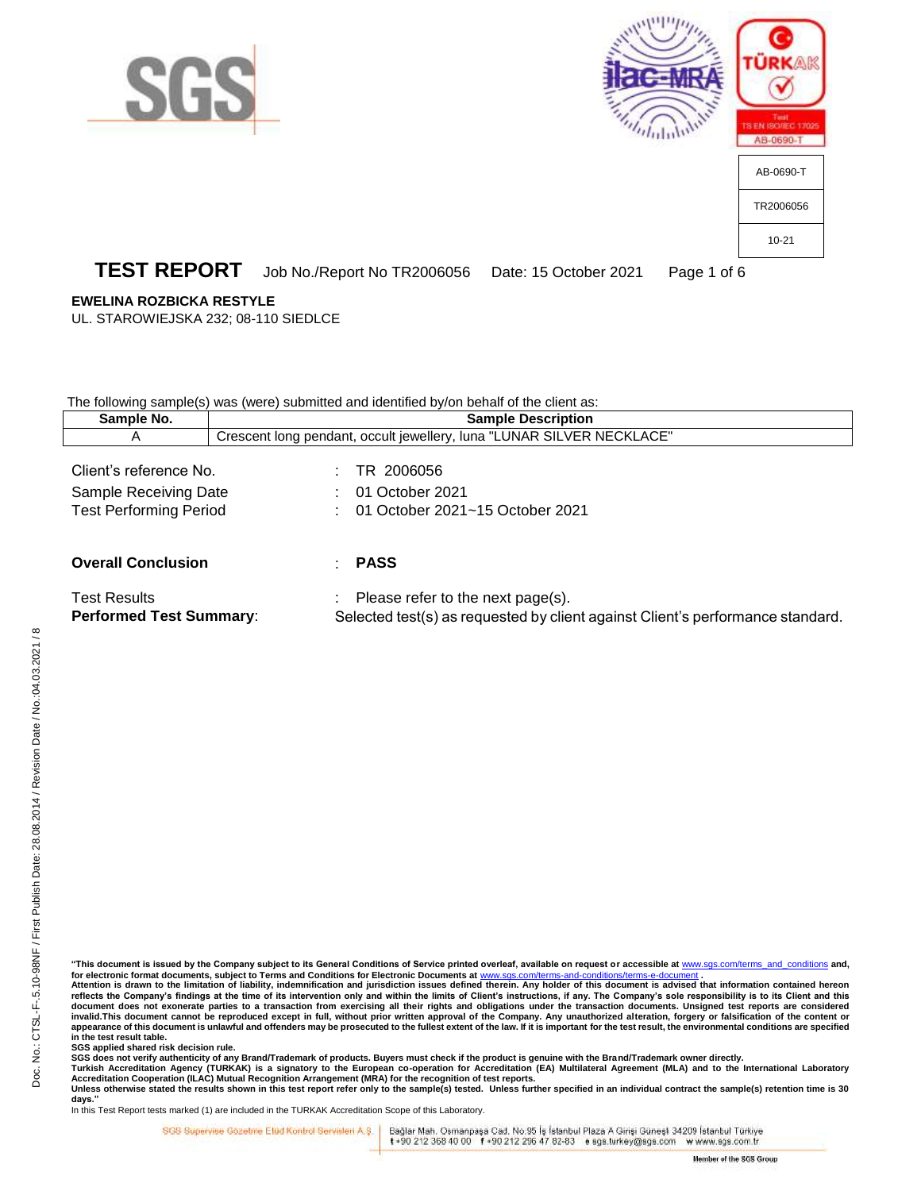





## **TEST REPORT** Job No./Report No TR2006056 Date: 15 October 2021 Page 1 of 6

### **EWELINA ROZBICKA RESTYLE**

UL. STAROWIEJSKA 232; 08-110 SIEDLCE

The following sample(s) was (were) submitted and identified by/on behalf of the client as:

| Sample No.                                                                       | <b>Sample Description</b>                                                                                                        |  |
|----------------------------------------------------------------------------------|----------------------------------------------------------------------------------------------------------------------------------|--|
| A                                                                                | Crescent long pendant, occult jewellery, luna "LUNAR SILVER NECKLACE"                                                            |  |
| Client's reference No.<br>Sample Receiving Date<br><b>Test Performing Period</b> | TR 2006056<br>01 October 2021<br>01 October 2021~15 October 2021                                                                 |  |
| <b>Overall Conclusion</b>                                                        | <b>PASS</b>                                                                                                                      |  |
| <b>Test Results</b><br><b>Performed Test Summary:</b>                            | $\therefore$ Please refer to the next page(s).<br>Selected test(s) as requested by client against Client's performance standard. |  |

**"This document is issued by the Company subject to its General Conditions of Service printed overleaf, available on request or accessible at** [www.sgs.com/terms\\_and\\_conditions](http://www.sgs.com/terms_and_conditions) **and,**  for electronic format documents, subject to Terms and Conditions for Electronic Documents at www.stracturerms-

**Attention is drawn to the limitation of liability, indemnification and jurisdiction issues defined therein. Any holder of this document is advised that information contained hereon**  reflects the Company's findings at the time of its intervention only and within the limits of Client's instructions, if any. The Company's sole responsibility is to its Client and this document does not exonerate parties to a transaction from exercising all their rights and obligations under the transaction documents. Unsigned test reports are considered<br>invalid.This document cannot be reproduced except **in the test result table.**

**SGS applied shared risk decision rule.**

SGS does not verify authenticity of any Brand/Trademark of products. Buyers must check if the product is genuine with the Brand/Trademark owner directly.<br>Turkish Accreditation Agency (TURKAK) is a signatory to the European

**days."**  In this Test Report tests marked (1) are included in the TURKAK Accreditation Scope of this Laboratory.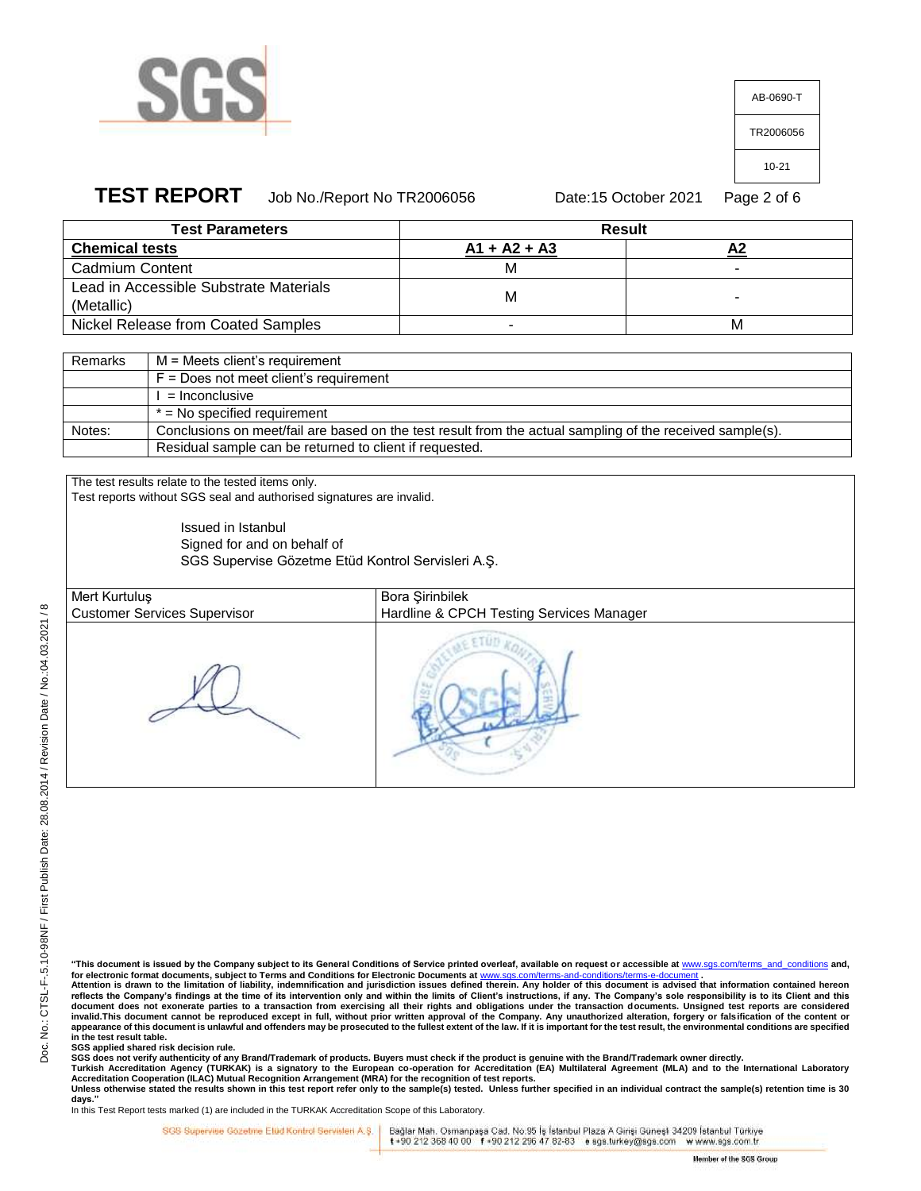

| AB-0690-T |
|-----------|
| TR2006056 |
| 10-21     |
|           |

## **TEST REPORT** Job No./Report No TR2006056 Date:15 October 2021 Page 2 of 6

| <b>Test Parameters</b>                 | <b>Result</b>  |   |  |
|----------------------------------------|----------------|---|--|
| <b>Chemical tests</b>                  | $A1 + A2 + A3$ |   |  |
| Cadmium Content                        |                |   |  |
| Lead in Accessible Substrate Materials | М              |   |  |
| (Metallic)                             |                |   |  |
| Nickel Release from Coated Samples     |                | М |  |

| Remarks | M = Meets client's requirement                                                                            |
|---------|-----------------------------------------------------------------------------------------------------------|
|         | $F = Does not meet client's requirement$                                                                  |
|         | = Inconclusive                                                                                            |
|         | $*$ = No specified requirement                                                                            |
| Notes:  | Conclusions on meet/fail are based on the test result from the actual sampling of the received sample(s). |
|         | Residual sample can be returned to client if requested.                                                   |

The test results relate to the tested items only. Test reports without SGS seal and authorised signatures are invalid.

> Issued in Istanbul Signed for and on behalf of SGS Supervise Gözetme Etüd Kontrol Servisleri A.Ş.

Mert Kurtuluş Customer Services Supervisor

Bora Şirinbilek Hardline & CPCH Testing Services Manager

**"This document is issued by the Company subject to its General Conditions of Service printed overleaf, available on request or accessible at** [www.sgs.com/terms\\_and\\_conditions](http://www.sgs.com/terms_and_conditions) **and,**  for electronic format documents, subject to Terms and Conditions for Electronic Documents at www.s

**Attention is drawn to the limitation of liability, indemnification and jurisdiction issues defined therein. Any holder of this document is advised that information contained hereon**  reflects the Company's findings at the time of its intervention only and within the limits of Client's instructions, if any. The Company's sole responsibility is to its Client and this document does not exonerate parties to a transaction from exercising all their rights and obligations under the transaction documents. Unsigned test reports are considered<br>invalid.This document cannot be reproduced except **appearance of this document is unlawful and offenders may be prosecuted to the fullest extent of the law. If it is important for the test result, the environmental conditions are specified in the test result table.**

**SGS applied shared risk decision rule.**

SGS does not verify authenticity of any Brand/Trademark of products. Buyers must check if the product is genuine with the Brand/Trademark owner directly.<br>Turkish Accreditation Agency (TURKAK) is a signatory to the European

**days."**  In this Test Report tests marked (1) are included in the TURKAK Accreditation Scope of this Laboratory.

SGS Supervise Gozetine Etud Kontrol Servisleri A.Ş.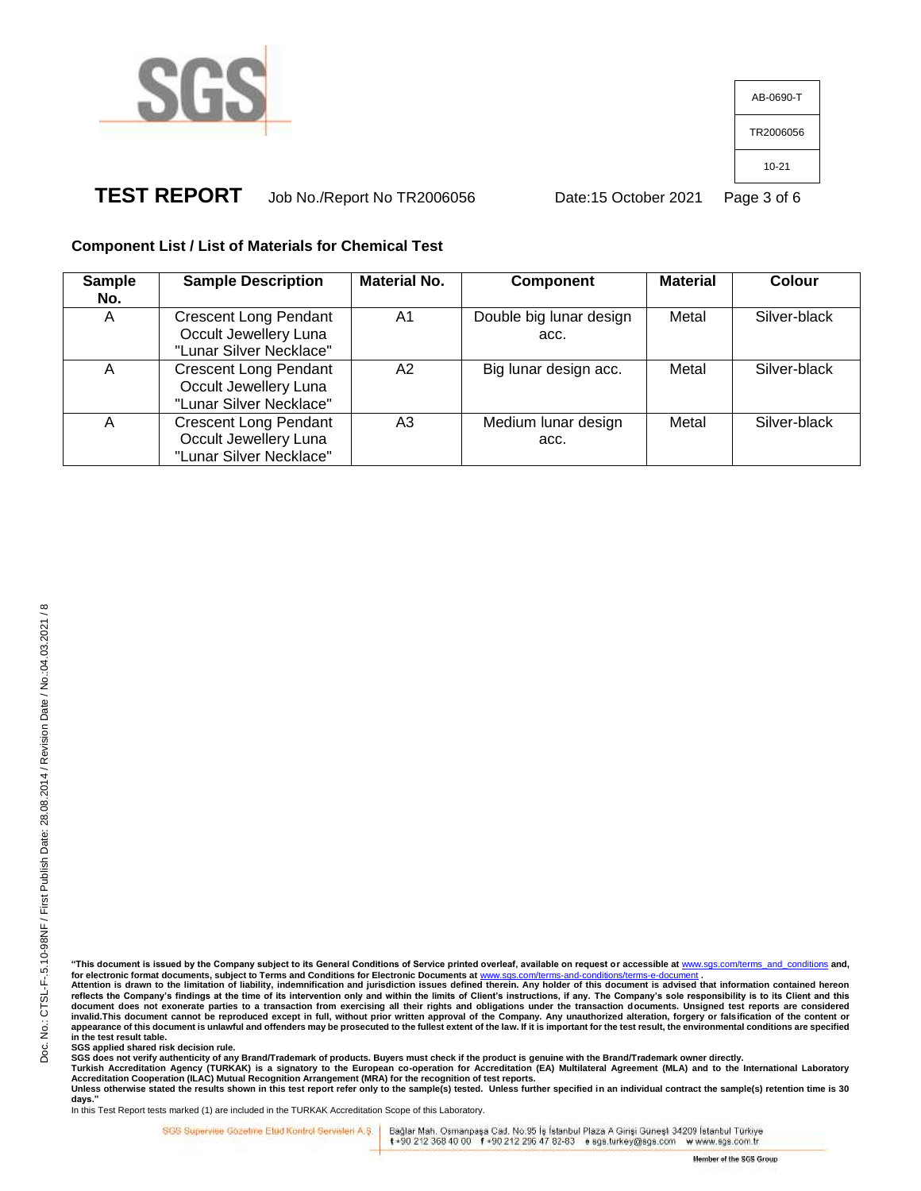

AB-0690-T TR2006056 10-21

# **TEST REPORT** Job No./Report No TR2006056 Date:15 October 2021 Page 3 of 6

## **Component List / List of Materials for Chemical Test**

| <b>Sample</b><br>No. | <b>Sample Description</b>                                                        | <b>Material No.</b> | <b>Component</b>                | <b>Material</b> | Colour       |
|----------------------|----------------------------------------------------------------------------------|---------------------|---------------------------------|-----------------|--------------|
| A                    | <b>Crescent Long Pendant</b><br>Occult Jewellery Luna<br>"Lunar Silver Necklace" | A1                  | Double big lunar design<br>acc. | Metal           | Silver-black |
| A                    | <b>Crescent Long Pendant</b><br>Occult Jewellery Luna<br>"Lunar Silver Necklace" | A2                  | Big lunar design acc.           | Metal           | Silver-black |
| Α                    | <b>Crescent Long Pendant</b><br>Occult Jewellery Luna<br>"Lunar Silver Necklace" | A3                  | Medium lunar design<br>acc.     | Metal           | Silver-black |

reflects the Company's findings at the time of its intervention only and within the limits of Client's instructions, if any. The Company's sole responsibility is to its Client and this document does not exonerate parties to a transaction from exercising all their rights and obligations under the transaction documents. Unsigned test reports are considered<br>invalid.This document cannot be reproduced except **appearance of this document is unlawful and offenders may be prosecuted to the fullest extent of the law. If it is important for the test result, the environmental conditions are specified in the test result table.**

**SGS applied shared risk decision rule.**

SGS does not verify authenticity of any Brand/Trademark of products. Buyers must check if the product is genuine with the Brand/Trademark owner directly.<br>Turkish Accreditation Agency (TURKAK) is a signatory to the European

**days."**  In this Test Report tests marked (1) are included in the TURKAK Accreditation Scope of this Laboratory.

SGS Supervise Gozetine Etud Kontrol Servisleri A.Ş.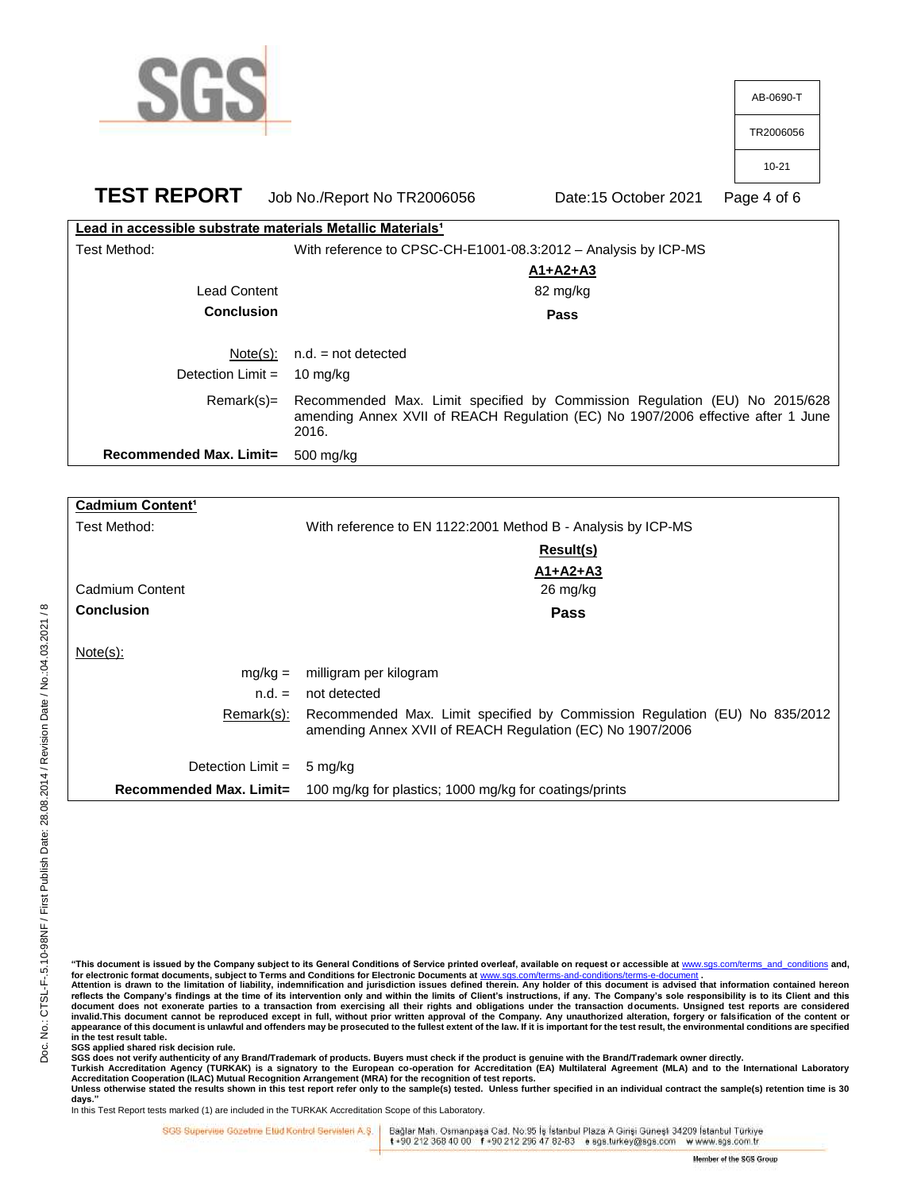|                                                                        |                             |                                                                                                                                                                | AB-0690-T   |
|------------------------------------------------------------------------|-----------------------------|----------------------------------------------------------------------------------------------------------------------------------------------------------------|-------------|
|                                                                        |                             |                                                                                                                                                                | TR2006056   |
|                                                                        |                             |                                                                                                                                                                | $10 - 21$   |
| <b>TEST REPORT</b>                                                     | Job No./Report No TR2006056 | Date:15 October 2021                                                                                                                                           | Page 4 of 6 |
| Lead in accessible substrate materials Metallic Materials <sup>1</sup> |                             |                                                                                                                                                                |             |
| Test Method:                                                           |                             | With reference to CPSC-CH-E1001-08.3:2012 - Analysis by ICP-MS                                                                                                 |             |
|                                                                        |                             | <u>A1+A2+A3</u>                                                                                                                                                |             |
| <b>Lead Content</b>                                                    |                             | 82 mg/kg                                                                                                                                                       |             |
| <b>Conclusion</b>                                                      |                             | Pass                                                                                                                                                           |             |
| $Note(s)$ :                                                            | $n.d. = not detected$       |                                                                                                                                                                |             |
| Detection Limit $=$                                                    | 10 mg/kg                    |                                                                                                                                                                |             |
| $Remark(s) =$                                                          | 2016.                       | Recommended Max. Limit specified by Commission Regulation (EU) No 2015/628<br>amending Annex XVII of REACH Regulation (EC) No 1907/2006 effective after 1 June |             |
| Recommended Max. Limit=                                                | 500 mg/kg                   |                                                                                                                                                                |             |
|                                                                        |                             |                                                                                                                                                                |             |

| Cadmium Content <sup>1</sup> |                                                                                                                                         |
|------------------------------|-----------------------------------------------------------------------------------------------------------------------------------------|
| Test Method:                 | With reference to EN 1122:2001 Method B - Analysis by ICP-MS                                                                            |
|                              | Result(s)                                                                                                                               |
|                              | $A1+A2+A3$                                                                                                                              |
| Cadmium Content              | 26 mg/kg                                                                                                                                |
| <b>Conclusion</b>            | Pass                                                                                                                                    |
| $Note(s)$ :                  |                                                                                                                                         |
| $mg/kg =$                    | milligram per kilogram                                                                                                                  |
| $n.d. =$                     | not detected                                                                                                                            |
| Remark(s):                   | Recommended Max. Limit specified by Commission Regulation (EU) No 835/2012<br>amending Annex XVII of REACH Regulation (EC) No 1907/2006 |
| Detection $Limit =$          | 5 mg/kg                                                                                                                                 |
| Recommended Max. Limit=      | 100 mg/kg for plastics; 1000 mg/kg for coatings/prints                                                                                  |

**"This document is issued by the Company subject to its General Conditions of Service printed overleaf, available on request or accessible at** [www.sgs.com/terms\\_and\\_conditions](http://www.sgs.com/terms_and_conditions) **and,**  for electronic format documents, subject to Terms and Conditions for Electronic Documents at www.sgs.com/terms-

**Attention is drawn to the limitation of liability, indemnification and jurisdiction issues defined therein. Any holder of this document is advised that information contained hereon**  reflects the Company's findings at the time of its intervention only and within the limits of Client's instructions, if any. The Company's sole responsibility is to its Client and this document does not exonerate parties to a transaction from exercising all their rights and obligations under the transaction documents. Unsigned test reports are considered<br>invalid.This document cannot be reproduced except **appearance of this document is unlawful and offenders may be prosecuted to the fullest extent of the law. If it is important for the test result, the environmental conditions are specified in the test result table.**

**SGS applied shared risk decision rule.**

SGS does not verify authenticity of any Brand/Trademark of products. Buyers must check if the product is genuine with the Brand/Trademark owner directly.<br>Turkish Accreditation Agency (TURKAK) is a signatory to the European

**days."** 

In this Test Report tests marked (1) are included in the TURKAK Accreditation Scope of this Laboratory.

SGS Supervise Gozetine Etud Kontrol Servisleri A.Ş.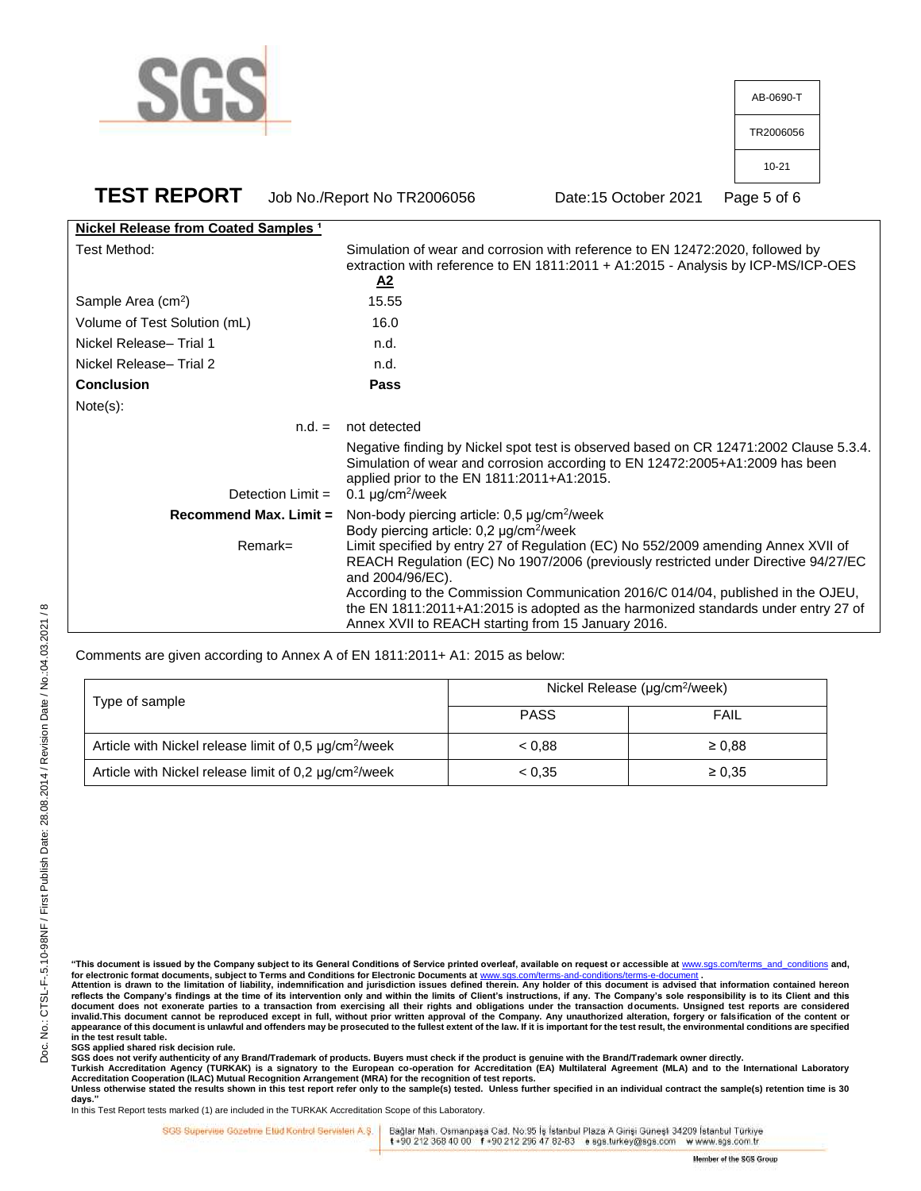

| AB-0690-T |
|-----------|
| TR2006056 |
| $10 - 21$ |
|           |

**TEST REPORT** Job No./Report No TR2006056 Date:15 October 2021 Page 5 of 6 **Nickel Release from Coated Samples <sup>1</sup>** Test Method: Simulation of wear and corrosion with reference to EN 12472:2020, followed by

|                                | extraction with reference to EN 1811:2011 + A1:2015 - Analysis by ICP-MS/ICP-OES<br>$\mathbf{A2}$                                                                                                                                                                                                                                                                                                                         |
|--------------------------------|---------------------------------------------------------------------------------------------------------------------------------------------------------------------------------------------------------------------------------------------------------------------------------------------------------------------------------------------------------------------------------------------------------------------------|
| Sample Area (cm <sup>2</sup> ) | 15.55                                                                                                                                                                                                                                                                                                                                                                                                                     |
| Volume of Test Solution (mL)   | 16.0                                                                                                                                                                                                                                                                                                                                                                                                                      |
| Nickel Release-Trial 1         | n.d.                                                                                                                                                                                                                                                                                                                                                                                                                      |
| Nickel Release-Trial 2         | n.d.                                                                                                                                                                                                                                                                                                                                                                                                                      |
| <b>Conclusion</b>              | <b>Pass</b>                                                                                                                                                                                                                                                                                                                                                                                                               |
| Note(s):                       |                                                                                                                                                                                                                                                                                                                                                                                                                           |
| $n.d. =$                       | not detected                                                                                                                                                                                                                                                                                                                                                                                                              |
|                                | Negative finding by Nickel spot test is observed based on CR 12471:2002 Clause 5.3.4.<br>Simulation of wear and corrosion according to EN 12472:2005+A1:2009 has been<br>applied prior to the EN 1811:2011+A1:2015.<br>Detection Limit = $0.1 \mu q/cm^2/$ week                                                                                                                                                           |
| Recommend Max, Limit $=$       | Non-body piercing article: $0.5 \mu g/cm^2$ /week<br>Body piercing article: $0,2 \mu g/cm^2$ /week                                                                                                                                                                                                                                                                                                                        |
| $Remark =$                     | Limit specified by entry 27 of Regulation (EC) No 552/2009 amending Annex XVII of<br>REACH Regulation (EC) No 1907/2006 (previously restricted under Directive 94/27/EC<br>and 2004/96/EC).<br>According to the Commission Communication 2016/C 014/04, published in the OJEU,<br>the EN 1811:2011+A1:2015 is adopted as the harmonized standards under entry 27 of<br>Annex XVII to REACH starting from 15 January 2016. |

Comments are given according to Annex A of EN 1811:2011+ A1: 2015 as below:

| Type of sample                                                    | Nickel Release (µg/cm <sup>2</sup> /week) |             |  |
|-------------------------------------------------------------------|-------------------------------------------|-------------|--|
|                                                                   | <b>PASS</b>                               | FAIL        |  |
| Article with Nickel release limit of 0,5 µg/cm <sup>2</sup> /week | < 0.88                                    | $\geq 0.88$ |  |
| Article with Nickel release limit of 0,2 µg/cm <sup>2</sup> /week | < 0.35                                    | $\geq 0.35$ |  |

Doc. No.: CTSL-F-.5.10-98NF / First Publish Date: 28.08.2014 / Revision Date / No.:04.03.2021 / 8

Doc. No.: CTSL-F-.5.10-98NF / First Publish Date: 28.08.2014 / Revision Date / No.:04.03.2021 / 8

**"This document is issued by the Company subject to its General Conditions of Service printed overleaf, available on request or accessible at** [www.sgs.com/terms\\_and\\_conditions](http://www.sgs.com/terms_and_conditions) **and,**  for electronic format documents, subject to Terms and Conditions for Electronic Documents at www.stracturerms-

**Attention is drawn to the limitation of liability, indemnification and jurisdiction issues defined therein. Any holder of this document is advised that information contained hereon**  reflects the Company's findings at the time of its intervention only and within the limits of Client's instructions, if any. The Company's sole responsibility is to its Client and this document does not exonerate parties to a transaction from exercising all their rights and obligations under the transaction documents. Unsigned test reports are considered<br>invalid.This document cannot be reproduced except **appearance of this document is unlawful and offenders may be prosecuted to the fullest extent of the law. If it is important for the test result, the environmental conditions are specified in the test result table.**

**SGS applied shared risk decision rule.**

SGS does not verify authenticity of any Brand/Trademark of products. Buyers must check if the product is genuine with the Brand/Trademark owner directly.<br>Turkish Accreditation Agency (TURKAK) is a signatory to the European

**days."**  In this Test Report tests marked (1) are included in the TURKAK Accreditation Scope of this Laboratory.

SGS Supervise Gozetine Etüd Kontrol Servisleri A.Ş. |